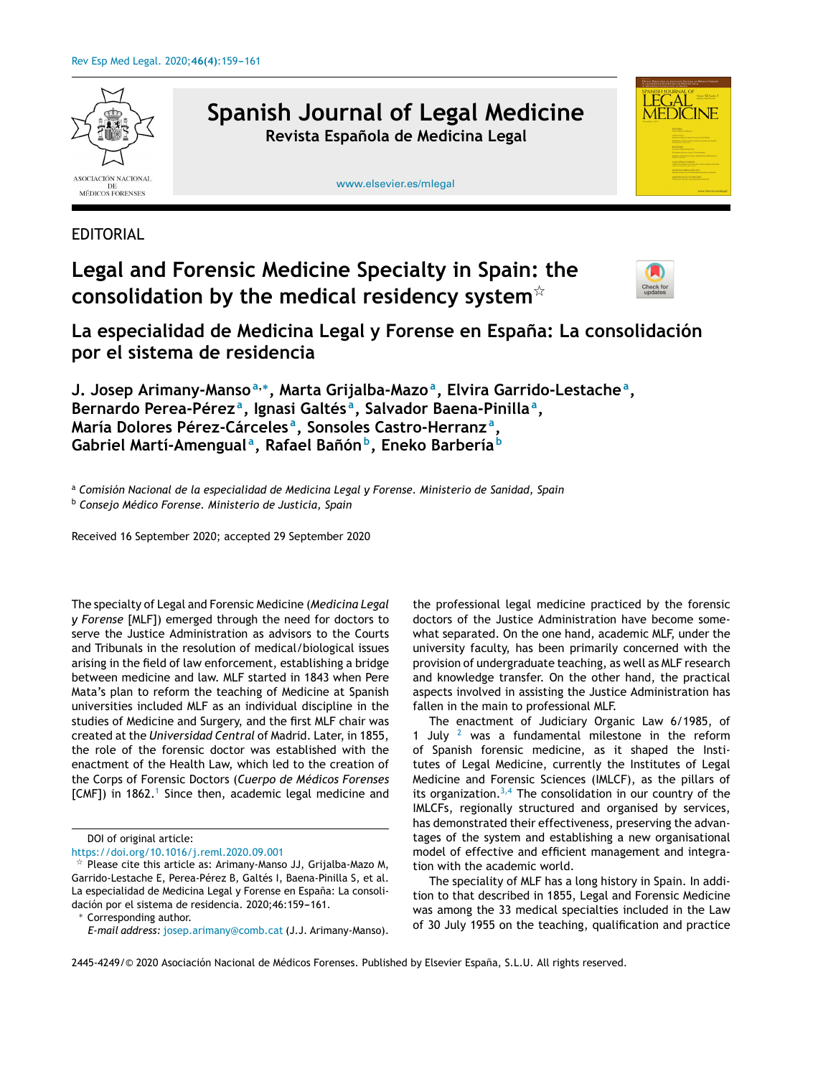

## **Legal and Forensic Medicine Specialty in Spain: the consolidation by the medical residency system**-



**La especialidad de Medicina Legal y Forense en Espana: ˜ La consolidación por el sistema de residencia**

**J. Josep Arimany-Manso<sup>a</sup>**,<sup>∗</sup> **, Marta Grijalba-Mazo<sup>a</sup> , Elvira Garrido-Lestache<sup>a</sup> , Bernardo Perea-Pérez <sup>a</sup> , Ignasi Galtés <sup>a</sup> , Salvador Baena-Pinilla<sup>a</sup> , María Dolores Pérez-Cárceles <sup>a</sup> , Sonsoles Castro-Herranz <sup>a</sup> , Gabriel Martí-Amengual <sup>a</sup> , Rafael Banón ˜ b , Eneko Barbería <sup>b</sup>**

<sup>a</sup> *Comisión Nacional de la especialidad de Medicina Legal y Forense. Ministerio de Sanidad, Spain* <sup>b</sup> *Consejo Médico Forense. Ministerio de Justicia, Spain*

Received 16 September 2020; accepted 29 September 2020

The specialty of Legal and Forensic Medicine (*Medicina Legal y Forense* [MLF]) emerged through the need for doctors to serve the Justice Administration as advisors to the Courts and Tribunals in the resolution of medical/biological issues arising in the field of law enforcement, establishing a bridge between medicine and law. MLF started in 1843 when Pere Mata's plan to reform the teaching of Medicine at Spanish universities included MLF as an individual discipline in the studies of Medicine and Surgery, and the first MLF chair was created at the *Universidad Central* of Madrid. Later, in 1855, the role of the forensic doctor was established with the enactment of the Health Law, which led to the creation of the Corps of Forensic Doctors (*Cuerpo de Médicos Forenses* [CMF]) in [1](#page-2-0)862.<sup>1</sup> Since then, academic legal medicine and

Corresponding author.

the professional legal medicine practiced by the forensic doctors of the Justice Administration have become somewhat separated. On the one hand, academic MLF, under the university faculty, has been primarily concerned with the provision of undergraduate teaching, as well as MLF research and knowledge transfer. On the other hand, the practical aspects involved in assisting the Justice Administration has fallen in the main to professional MLF.

The enactment of Judiciary Organic Law 6/1985, of 1 July  $2$  was a fundamental milestone in the reform of Spanish forensic medicine, as it shaped the Institutes of Legal Medicine, currently the Institutes of Legal Medicine and Forensic Sciences (IMLCF), as the pillars of its organization. $3,4$  The consolidation in our country of the IMLCFs, regionally structured and organised by services, has demonstrated their effectiveness, preserving the advantages of the system and establishing a new organisational model of effective and efficient management and integration with the academic world.

The speciality of MLF has a long history in Spain. In addition to that described in 1855, Legal and Forensic Medicine was among the 33 medical specialties included in the Law of 30 July 1955 on the teaching, qualification and practice

DOI of original article:

<https://doi.org/10.1016/j.reml.2020.09.001>

 $\overline{X}$  Please cite this article as: Arimany-Manso JJ, Grijalba-Mazo M, Garrido-Lestache E, Perea-Pérez B, Galtés I, Baena-Pinilla S, et al. La especialidad de Medicina Legal y Forense en España: La consolidación por el sistema de residencia. 2020;46:159-161.

*E-mail address:* [josep.arimany@comb.cat](mailto:josep.arimany@comb.cat) (J.J. Arimany-Manso).

<sup>2445-4249/©</sup> 2020 Asociación Nacional de Médicos Forenses. Published by Elsevier España, S.L.U. All rights reserved.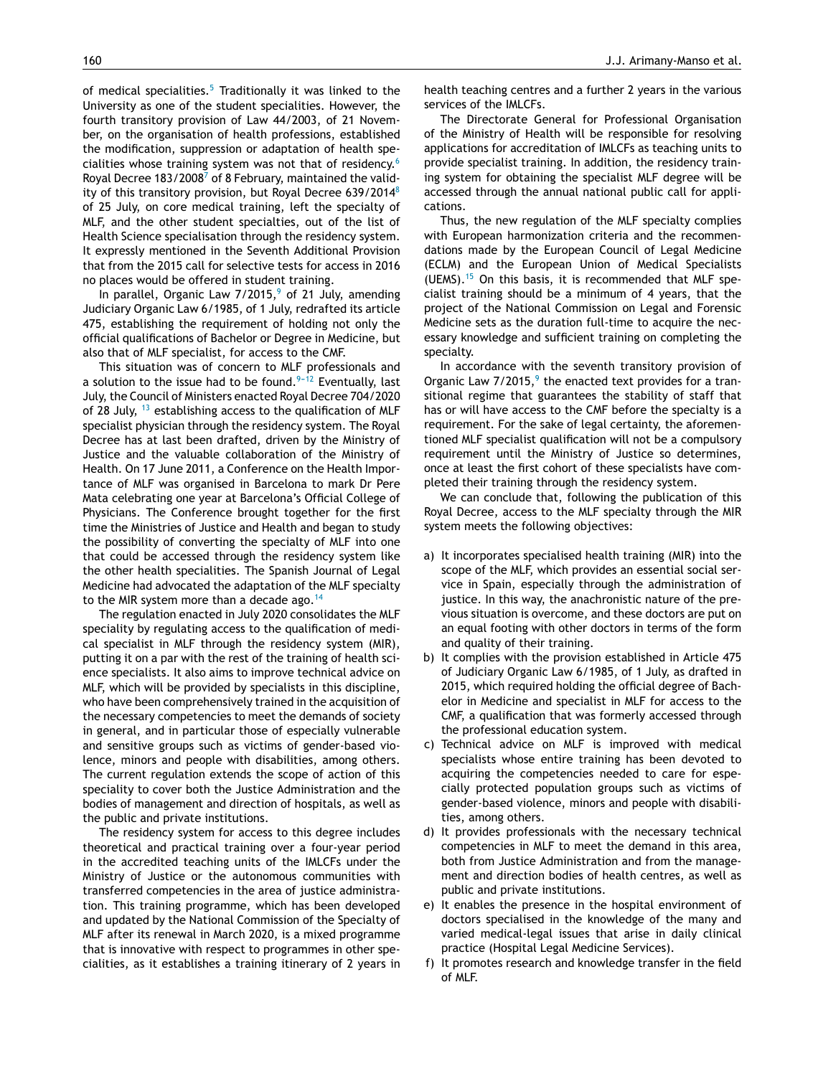of medical specialities.<sup>[5](#page-2-0)</sup> Traditionally it was linked to the University as one of the student specialities. However, the fourth transitory provision of Law 44/2003, of 21 November, on the organisation of health professions, established the modification, suppression or adaptation of health specialities whose training system was not that of residency.[6](#page-2-0) R[o](#page-2-0)yal Decree 183/2008<sup>7</sup> of 8 February, maintained the validity of this transitory provision, but Royal Decree 639/2014[8](#page-2-0) of 25 July, on core medical training, left the specialty of MLF, and the other student specialties, out of the list of Health Science specialisation through the residency system. It expressly mentioned in the Seventh Additional Provision that from the 2015 call for selective tests for access in 2016 no places would be offered in student training.

In parallel, Organic Law  $7/2015$ ,<sup>[9](#page-2-0)</sup> of 21 July, amending Judiciary Organic Law 6/1985, of 1 July, redrafted its article 475, establishing the requirement of holding not only the official qualifications of Bachelor or Degree in Medicine, but also that of MLF specialist, for access to the CMF.

This situation was of concern to MLF professionals and a solution to the issue had to be found.<sup>9-12</sup> Eventually, last July, the Council of Ministers enacted Royal Decree 704/2020 of 28 July,  $^{13}$  $^{13}$  $^{13}$  establishing access to the qualification of MLF specialist physician through the residency system. The Royal Decree has at last been drafted, driven by the Ministry of Justice and the valuable collaboration of the Ministry of Health. On 17 June 2011, a Conference on the Health Importance of MLF was organised in Barcelona to mark Dr Pere Mata celebrating one year at Barcelona's Official College of Physicians. The Conference brought together for the first time the Ministries of Justice and Health and began to study the possibility of converting the specialty of MLF into one that could be accessed through the residency system like the other health specialities. The Spanish Journal of Legal Medicine had advocated the adaptation of the MLF specialty to the MIR system more than a decade ago.<sup>[14](#page-2-0)</sup>

The regulation enacted in July 2020 consolidates the MLF speciality by regulating access to the qualification of medical specialist in MLF through the residency system (MIR), putting it on a par with the rest of the training of health science specialists. It also aims to improve technical advice on MLF, which will be provided by specialists in this discipline, who have been comprehensively trained in the acquisition of the necessary competencies to meet the demands of society in general, and in particular those of especially vulnerable and sensitive groups such as victims of gender-based violence, minors and people with disabilities, among others. The current regulation extends the scope of action of this speciality to cover both the Justice Administration and the bodies of management and direction of hospitals, as well as the public and private institutions.

The residency system for access to this degree includes theoretical and practical training over a four-year period in the accredited teaching units of the IMLCFs under the Ministry of Justice or the autonomous communities with transferred competencies in the area of justice administration. This training programme, which has been developed and updated by the National Commission of the Specialty of MLF after its renewal in March 2020, is a mixed programme that is innovative with respect to programmes in other specialities, as it establishes a training itinerary of 2 years in

health teaching centres and a further 2 years in the various services of the IMLCFs.

The Directorate General for Professional Organisation of the Ministry of Health will be responsible for resolving applications for accreditation of IMLCFs as teaching units to provide specialist training. In addition, the residency training system for obtaining the specialist MLF degree will be accessed through the annual national public call for applications.

Thus, the new regulation of the MLF specialty complies with European harmonization criteria and the recommendations made by the European Council of Legal Medicine (ECLM) and the European Union of Medical Specialists (UEMS). $15$  On this basis, it is recommended that MLF specialist training should be a minimum of 4 years, that the project of the National Commission on Legal and Forensic Medicine sets as the duration full-time to acquire the necessary knowledge and sufficient training on completing the specialty.

In accordance with the seventh transitory provision of Organic Law  $7/2015$ , the enacted text provides for a transitional regime that guarantees the stability of staff that has or will have access to the CMF before the specialty is a requirement. For the sake of legal certainty, the aforementioned MLF specialist qualification will not be a compulsory requirement until the Ministry of Justice so determines, once at least the first cohort of these specialists have completed their training through the residency system.

We can conclude that, following the publication of this Royal Decree, access to the MLF specialty through the MIR system meets the following objectives:

- a) It incorporates specialised health training (MIR) into the scope of the MLF, which provides an essential social service in Spain, especially through the administration of justice. In this way, the anachronistic nature of the previous situation is overcome, and these doctors are put on an equal footing with other doctors in terms of the form and quality of their training.
- b) It complies with the provision established in Article 475 of Judiciary Organic Law 6/1985, of 1 July, as drafted in 2015, which required holding the official degree of Bachelor in Medicine and specialist in MLF for access to the CMF, a qualification that was formerly accessed through the professional education system.
- c) Technical advice on MLF is improved with medical specialists whose entire training has been devoted to acquiring the competencies needed to care for especially protected population groups such as victims of gender-based violence, minors and people with disabilities, among others.
- d) It provides professionals with the necessary technical competencies in MLF to meet the demand in this area, both from Justice Administration and from the management and direction bodies of health centres, as well as public and private institutions.
- e) It enables the presence in the hospital environment of doctors specialised in the knowledge of the many and varied medical-legal issues that arise in daily clinical practice (Hospital Legal Medicine Services).
- f) It promotes research and knowledge transfer in the field of MLF.